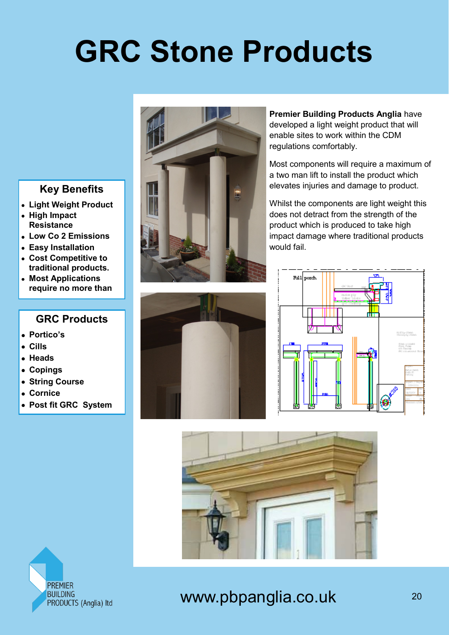# **GRC Stone Products**

### **Key Benefits**

- **Light Weight Product**
- **High Impact Resistance**
- **Low Co 2 Emissions**
- **Easy Installation**
- **Cost Competitive to traditional products.**
- **Most Applications require no more than**

#### **GRC Products**

- **Portico's**
- **Cills**
- **Heads**
- **Copings**
- **String Course**
- **Cornice**
- **Post fit GRC System**





**Premier Building Products Anglia** have developed a light weight product that will enable sites to work within the CDM regulations comfortably.

Most components will require a maximum of a two man lift to install the product which elevates injuries and damage to product.

Whilst the components are light weight this does not detract from the strength of the product which is produced to take high impact damage where traditional products would fail.







### www.pbpanglia.co.uk 20